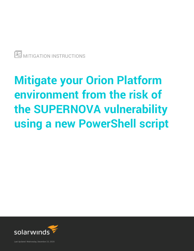

# **Mitigate your Orion Platform environment from the risk of the SUPERNOVA vulnerability using a new PowerShell script**



Last Updated: Wednesday, December 23, 2020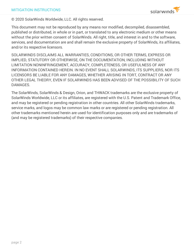© 2020 SolarWinds Worldwide, LLC. All rights reserved.

This document may not be reproduced by any means nor modified, decompiled, disassembled, published or distributed, in whole or in part, or translated to any electronic medium or other means without the prior written consent of SolarWinds. All right, title, and interest in and to the software, services, and documentation are and shall remain the exclusive property of SolarWinds, its affiliates, and/or its respective licensors.

SOLARWINDS DISCLAIMS ALL WARRANTIES, CONDITIONS, OR OTHER TERMS, EXPRESS OR IMPLIED, STATUTORY OR OTHERWISE, ON THE DOCUMENTATION, INCLUDING WITHOUT LIMITATION NONINFRINGEMENT, ACCURACY, COMPLETENESS, OR USEFULNESS OF ANY INFORMATION CONTAINED HEREIN. IN NO EVENT SHALL SOLARWINDS, ITS SUPPLIERS, NOR ITS LICENSORS BE LIABLE FOR ANY DAMAGES, WHETHER ARISING IN TORT, CONTRACT OR ANY OTHER LEGAL THEORY, EVEN IF SOLARWINDS HAS BEEN ADVISED OF THE POSSIBILITY OF SUCH DAMAGES.

The SolarWinds, SolarWinds & Design, Orion, and THWACK trademarks are the exclusive property of SolarWinds Worldwide, LLC or its affiliates, are registered with the U.S. Patent and Trademark Office, and may be registered or pending registration in other countries. All other SolarWinds trademarks, service marks, and logos may be common law marks or are registered or pending registration. All other trademarks mentioned herein are used for identification purposes only and are trademarks of (and may be registered trademarks) of their respective companies.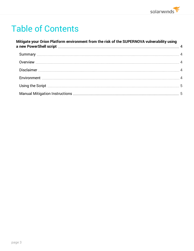# Table of Contents

| Mitigate your Orion Platform environment from the risk of the SUPERNOVA vulnerability using |  |  |
|---------------------------------------------------------------------------------------------|--|--|
|                                                                                             |  |  |
|                                                                                             |  |  |
|                                                                                             |  |  |
|                                                                                             |  |  |
|                                                                                             |  |  |
|                                                                                             |  |  |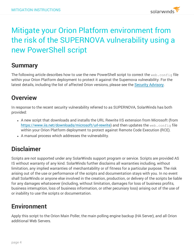## <span id="page-3-0"></span>Mitigate your Orion Platform environment from the risk of the SUPERNOVA vulnerability using a new PowerShell script

#### <span id="page-3-1"></span>**Summary**

The following article describes how to use the new PowerShell script to correct the web.config file within your Orion Platform deployment to protect it against the Supernova vulnerability. For the latest details, including the list of affected Orion versions, please see the Security [Advisory.](https://www.solarwinds.com/securityadvisory)

#### <span id="page-3-2"></span>**Overview**

In response to the recent security vulnerability referred to as SUPERNOVA, SolarWinds has both provided:

- A new script that downloads and installs the URL Rewrite IIS extension from Microsoft (from [https://www.iis.net/downloads/microsoft/url-rewrite\)](https://www.iis.net/downloads/microsoft/url-rewrite) and then updates the web.config file within your Orion Platform deployment to protect against Remote Code Execution (RCE).
- <span id="page-3-3"></span>• A manual process which addresses the vulnerability.

#### **Disclaimer**

Scripts are not supported under any SolarWinds support program or service. Scripts are provided AS IS without warranty of any kind. SolarWinds further disclaims all warranties including, without limitation, any implied warranties of merchantability or of fitness for a particular purpose. The risk arising out of the use or performance of the scripts and documentation stays with you. In no event shall SolarWinds or anyone else involved in the creation, production, or delivery of the scripts be liable for any damages whatsoever (including, without limitation, damages for loss of business profits, business interruption, loss of business information, or other pecuniary loss) arising out of the use of or inability to use the scripts or documentation.

#### <span id="page-3-4"></span>**Environment**

Apply this script to the Orion Main Poller, the main polling engine backup (HA Server), and all Orion additional Web Servers.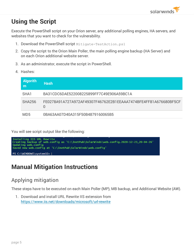## <span id="page-4-0"></span>**Using the Script**

Execute the PowerShell script on your Orion server, any additional polling engines, HA servers, and websites that you want to check for the vulnerability.

- 1. Download the PowerShell script Mitigate-TestAction.ps1
- 2. Copy the script to the Orion Main Poller, the main polling engine backup (HA Server) and on each Orion additional website server.
- 3. As an administrator, execute the script in PowerShell.
- 4. Hashes:

| <b>Algorith</b><br>m | <b>Hash</b>                                                          |
|----------------------|----------------------------------------------------------------------|
| SHA1                 | BA31CDC6DAE522008225899FF7C49E906A59BC1A                             |
| SHA256               | FE0278A91A727A972AF49307F46762E2B1EEAAA7474BFE4FF81A676680BF5CF<br>0 |
| MD <sub>5</sub>      | 0BA63AA07D40A315F50B4879160065B5                                     |
|                      |                                                                      |

You will see script output like the following:



## <span id="page-4-1"></span>**Manual Mitigation Instructions**

#### Applying mitigation

These steps have to be executed on each Main Poller (MP), MB backup, and Additional Website (AW).

1. Download and install URL Rewrite IIS extension from <https://www.iis.net/downloads/microsoft/url-rewrite>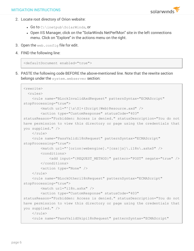- 2. Locate root directory of Orion website:
	- $\bullet$  Go to  $C:\mathcal\}%$  Go to  $C$ :
	- Open IIS Manager, click on the "SolarWinds NetPerfMon" site in the left connections menu. Click on "Explore" in the actions menu on the right.
- 3. Open the web.config file for edit.
- 4. FIND the following line:

```
<defaultDocument enabled="true">
```
5. PASTE the following code BEFORE the above-mentioned line. Note that the rewrite section belongs under the system.webserver section:

```
<rewrite>
  <rules>
    <rule name="BLockInvalidAxdRequest" patternSyntax="ECMAScript"
stopProcessing="true">
        <match url="^[\s\S]+(Script|Web)Resource.axd" />
        <action type="CustomResponse" statusCode="403"
statusReason="Forbidden: Access is denied." statusDescription="You do not
have permission to view this directory or page using the credentials that
you supplied." />
    \langle/rule>
    <rule name="PassValidi18nRequest" patternSyntax="ECMAScript"
stopProcessing="true">
        <match url="^[orion|webengine].*[css|js]\.i18n\.ashx$" />
        <conditions>
            <add input="{REQUEST_METHOD}" pattern="POST" negate="true" />
        </conditions>
        <action type="None" />
    \langlerule>
    <rule name="BLockOtheri18nRequest" patternSyntax="ECMAScript"
stopProcessing="true">
        <match url="i18n.ashx" />
        <action type="CustomResponse" statusCode="403"
statusReason="Forbidden: Access is denied." statusDescription="You do not
have permission to view this directory or page using the credentials that
you supplied." />
    \langlerule\rangle<rule name="PassValidSkipi18nRequest" patternSyntax="ECMAScript"
```